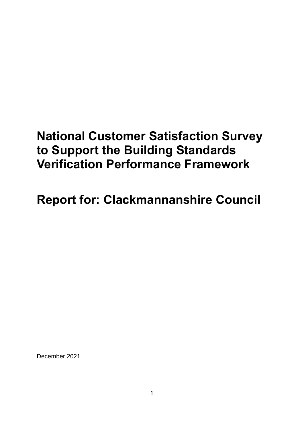# **National Customer Satisfaction Survey to Support the Building Standards Verification Performance Framework**

**Report for: Clackmannanshire Council**

December 2021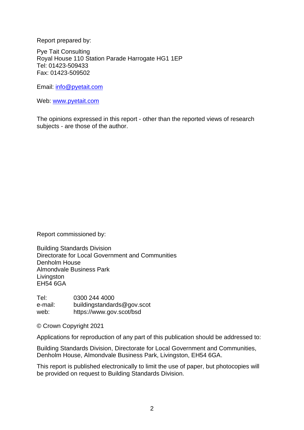Report prepared by:

Pye Tait Consulting Royal House 110 Station Parade Harrogate HG1 1EP Tel: 01423-509433 Fax: 01423-509502

Email: [info@pyetait.com](mailto:info@pyetait.com) 

Web: [www.pyetait.com](http://www.pyetait.com/) 

The opinions expressed in this report - other than the reported views of research subjects - are those of the author.

Report commissioned by:

Building Standards Division Directorate for Local Government and Communities Denholm House Almondvale Business Park **Livingston** EH54 6GA

Tel: 0300 244 4000 e-mail: buildingstandards@gov.scot web: https://www.gov.scot/bsd

© Crown Copyright 2021

Applications for reproduction of any part of this publication should be addressed to:

Building Standards Division, Directorate for Local Government and Communities, Denholm House, Almondvale Business Park, Livingston, EH54 6GA.

This report is published electronically to limit the use of paper, but photocopies will be provided on request to Building Standards Division.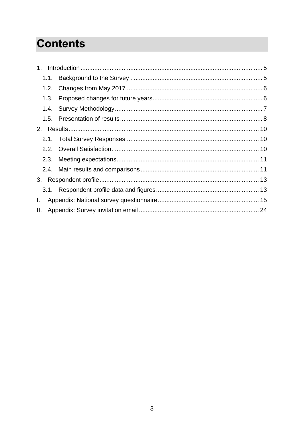# **Contents**

| 1.   |  |
|------|--|
| 1.1. |  |
| 1.2. |  |
| 1.3. |  |
|      |  |
|      |  |
| 2.   |  |
| 2.1. |  |
|      |  |
| 2.3. |  |
|      |  |
|      |  |
| 3.1. |  |
| Ι.   |  |
| Ш.   |  |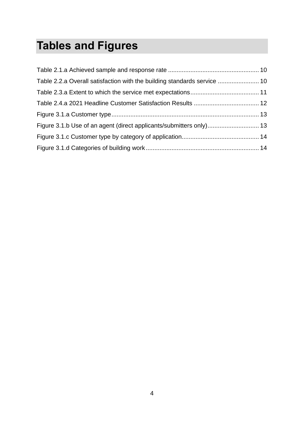# **Tables and Figures**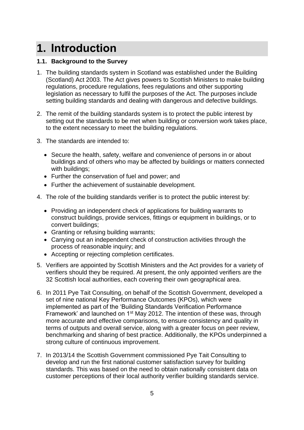# <span id="page-4-0"></span>**1. Introduction**

#### <span id="page-4-1"></span>**1.1. Background to the Survey**

- 1. The building standards system in Scotland was established under the Building (Scotland) Act 2003. The Act gives powers to Scottish Ministers to make building regulations, procedure regulations, fees regulations and other supporting legislation as necessary to fulfil the purposes of the Act. The purposes include setting building standards and dealing with dangerous and defective buildings.
- 2. The remit of the building standards system is to protect the public interest by setting out the standards to be met when building or conversion work takes place, to the extent necessary to meet the building regulations.
- 3. The standards are intended to:
	- Secure the health, safety, welfare and convenience of persons in or about buildings and of others who may be affected by buildings or matters connected with buildings;
	- Further the conservation of fuel and power; and
	- Further the achievement of sustainable development.
- 4. The role of the building standards verifier is to protect the public interest by:
	- Providing an independent check of applications for building warrants to construct buildings, provide services, fittings or equipment in buildings, or to convert buildings;
	- Granting or refusing building warrants;
	- Carrying out an independent check of construction activities through the process of reasonable inquiry; and
	- Accepting or rejecting completion certificates.
- 5. Verifiers are appointed by Scottish Ministers and the Act provides for a variety of verifiers should they be required. At present, the only appointed verifiers are the 32 Scottish local authorities, each covering their own geographical area.
- 6. In 2011 Pye Tait Consulting, on behalf of the Scottish Government, developed a set of nine national Key Performance Outcomes (KPOs), which were implemented as part of the 'Building Standards Verification Performance Framework' and launched on 1<sup>st</sup> May 2012. The intention of these was, through more accurate and effective comparisons, to ensure consistency and quality in terms of outputs and overall service, along with a greater focus on peer review, benchmarking and sharing of best practice. Additionally, the KPOs underpinned a strong culture of continuous improvement.
- 7. In 2013/14 the Scottish Government commissioned Pye Tait Consulting to develop and run the first national customer satisfaction survey for building standards. This was based on the need to obtain nationally consistent data on customer perceptions of their local authority verifier building standards service.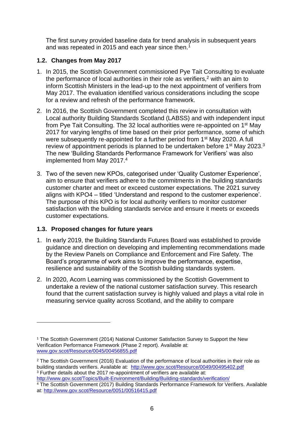The first survey provided baseline data for trend analysis in subsequent years and was repeated in 2015 and each year since then.<sup>1</sup>

#### <span id="page-5-0"></span>**1.2. Changes from May 2017**

- 1. In 2015, the Scottish Government commissioned Pye Tait Consulting to evaluate the performance of local authorities in their role as verifiers.<sup>2</sup> with an aim to inform Scottish Ministers in the lead-up to the next appointment of verifiers from May 2017. The evaluation identified various considerations including the scope for a review and refresh of the performance framework.
- 2. In 2016, the Scottish Government completed this review in consultation with Local authority Building Standards Scotland (LABSS) and with independent input from Pye Tait Consulting. The 32 local authorities were re-appointed on 1st May 2017 for varying lengths of time based on their prior performance, some of which were subsequently re-appointed for a further period from 1<sup>st</sup> May 2020. A full review of appointment periods is planned to be undertaken before 1<sup>st</sup> May 2023.<sup>3</sup> The new 'Building Standards Performance Framework for Verifiers' was also implemented from May 2017.<sup>4</sup>
- 3. Two of the seven new KPOs, categorised under 'Quality Customer Experience', aim to ensure that verifiers adhere to the commitments in the building standards customer charter and meet or exceed customer expectations. The 2021 survey aligns with KPO4 – titled 'Understand and respond to the customer experience'. The purpose of this KPO is for local authority verifiers to monitor customer satisfaction with the building standards service and ensure it meets or exceeds customer expectations.

#### <span id="page-5-1"></span>**1.3. Proposed changes for future years**

- 1. In early 2019, the Building Standards Futures Board was established to provide guidance and direction on developing and implementing recommendations made by the Review Panels on Compliance and Enforcement and Fire Safety. The Board's programme of work aims to improve the performance, expertise, resilience and sustainability of the Scottish building standards system.
- 2. In 2020, Acorn Learning was commissioned by the Scottish Government to undertake a review of the national customer satisfaction survey. This research found that the current satisfaction survey is highly valued and plays a vital role in measuring service quality across Scotland, and the ability to compare

<sup>1</sup> The Scottish Government (2014) National Customer Satisfaction Survey to Support the New Verification Performance Framework (Phase 2 report). Available at: [www.gov.scot/Resource/0045/00456855.pdf](http://www.gov.scot/Resource/0045/00456855.pdf)

<sup>&</sup>lt;sup>2</sup> The Scottish Government (2016) Evaluation of the performance of local authorities in their role as building standards verifiers. Available at: <http://www.gov.scot/Resource/0049/00495402.pdf> <sup>3</sup> Further details about the 2017 re-appointment of verifiers are available at: <http://www.gov.scot/Topics/Built-Environment/Building/Building-standards/verification/>

<sup>&</sup>lt;sup>4</sup> The Scottish Government (2017) Building Standards Performance Framework for Verifiers. Available at:<http://www.gov.scot/Resource/0051/00516415.pdf>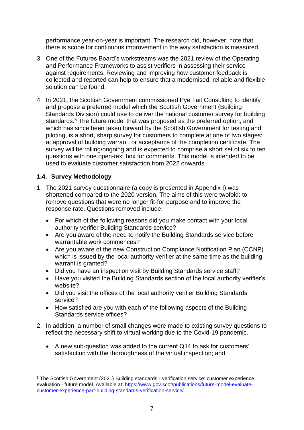performance year-on-year is important. The research did, however, note that there is scope for continuous improvement in the way satisfaction is measured.

- 3. One of the Futures Board's workstreams was the 2021 review of the Operating and Performance Frameworks to assist verifiers in assessing their service against requirements. Reviewing and improving how customer feedback is collected and reported can help to ensure that a modernised, reliable and flexible solution can be found.
- 4. In 2021, the Scottish Government commissioned Pye Tait Consulting to identify and propose a preferred model which the Scottish Government (Building Standards Division) could use to deliver the national customer survey for building standards.<sup>5</sup> The future model that was proposed as the preferred option, and which has since been taken forward by the Scottish Government for testing and piloting, is a short, sharp survey for customers to complete at one of two stages: at approval of building warrant, or acceptance of the completion certificate. The survey will be rolling/ongoing and is expected to comprise a short set of six to ten questions with one open-text box for comments. This model is intended to be used to evaluate customer satisfaction from 2022 onwards.

#### <span id="page-6-0"></span>**1.4. Survey Methodology**

- 1. The 2021 survey questionnaire (a copy is presented in Appendix I) was shortened compared to the 2020 version. The aims of this were twofold: to remove questions that were no longer fit-for-purpose and to improve the response rate. Questions removed include:
	- For which of the following reasons did you make contact with your local authority verifier Building Standards service?
	- Are you aware of the need to notify the Building Standards service before warrantable work commences?
	- Are you aware of the new Construction Compliance Notification Plan (CCNP) which is issued by the local authority verifier at the same time as the building warrant is granted?
	- Did you have an inspection visit by Building Standards service staff?
	- Have you visited the Building Standards section of the local authority verifier's website?
	- Did you visit the offices of the local authority verifier Building Standards service?
	- How satisfied are you with each of the following aspects of the Building Standards service offices?
- 2. In addition, a number of small changes were made to existing survey questions to reflect the necessary shift to virtual working due to the Covid-19 pandemic.
	- A new sub-question was added to the current Q14 to ask for customers' satisfaction with the thoroughness of the virtual inspection; and

<sup>5</sup> The Scottish Government (2021) Building standards - verification service: customer experience evaluation - future model. Available at: [https://www.gov.scot/publications/future-model-evaluate](https://www.gov.scot/publications/future-model-evaluate-customer-experience-part-building-standards-verification-service/)[customer-experience-part-building-standards-verification-service/](https://www.gov.scot/publications/future-model-evaluate-customer-experience-part-building-standards-verification-service/)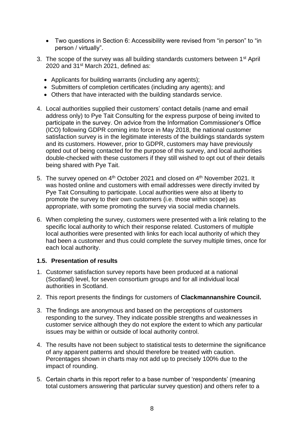- Two questions in Section 6: Accessibility were revised from "in person" to "in person / virtually".
- 3. The scope of the survey was all building standards customers between 1<sup>st</sup> April 2020 and 31<sup>st</sup> March 2021, defined as:
	- Applicants for building warrants (including any agents);
	- Submitters of completion certificates (including any agents); and
	- Others that have interacted with the building standards service.
- 4. Local authorities supplied their customers' contact details (name and email address only) to Pye Tait Consulting for the express purpose of being invited to participate in the survey. On advice from the Information Commissioner's Office (ICO) following GDPR coming into force in May 2018, the national customer satisfaction survey is in the legitimate interests of the buildings standards system and its customers. However, prior to GDPR, customers may have previously opted out of being contacted for the purpose of this survey, and local authorities double-checked with these customers if they still wished to opt out of their details being shared with Pye Tait.
- 5. The survey opened on 4<sup>th</sup> October 2021 and closed on 4<sup>th</sup> November 2021. It was hosted online and customers with email addresses were directly invited by Pye Tait Consulting to participate. Local authorities were also at liberty to promote the survey to their own customers (i.e. those within scope) as appropriate, with some promoting the survey via social media channels.
- 6. When completing the survey, customers were presented with a link relating to the specific local authority to which their response related. Customers of multiple local authorities were presented with links for each local authority of which they had been a customer and thus could complete the survey multiple times, once for each local authority.

#### <span id="page-7-0"></span>**1.5. Presentation of results**

- 1. Customer satisfaction survey reports have been produced at a national (Scotland) level, for seven consortium groups and for all individual local authorities in Scotland.
- 2. This report presents the findings for customers of **Clackmannanshire Council.**
- 3. The findings are anonymous and based on the perceptions of customers responding to the survey. They indicate possible strengths and weaknesses in customer service although they do not explore the extent to which any particular issues may be within or outside of local authority control.
- 4. The results have not been subject to statistical tests to determine the significance of any apparent patterns and should therefore be treated with caution. Percentages shown in charts may not add up to precisely 100% due to the impact of rounding.
- 5. Certain charts in this report refer to a base number of 'respondents' (meaning total customers answering that particular survey question) and others refer to a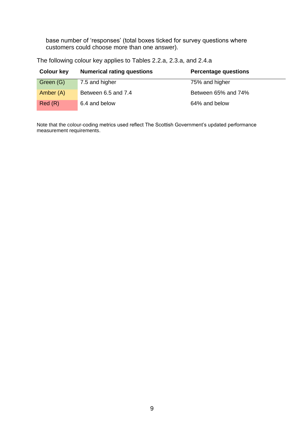base number of 'responses' (total boxes ticked for survey questions where customers could choose more than one answer).

| <b>Colour key</b> | <b>Numerical rating questions</b> | <b>Percentage questions</b> |
|-------------------|-----------------------------------|-----------------------------|
| Green (G)         | 7.5 and higher                    | 75% and higher              |
| Amber (A)         | Between 6.5 and 7.4               | Between 65% and 74%         |
| Red(R)            | 6.4 and below                     | 64% and below               |

The following colour key applies to Tables 2.2.a, 2.3.a, and 2.4.a

Note that the colour-coding metrics used reflect The Scottish Government's updated performance measurement requirements.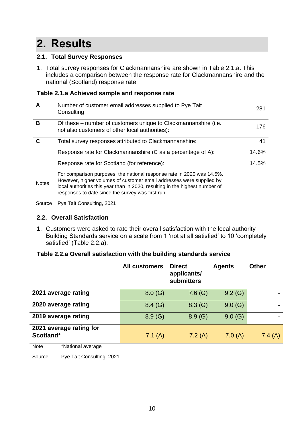# <span id="page-9-0"></span>**2. Results**

#### <span id="page-9-1"></span>**2.1. Total Survey Responses**

1. Total survey responses for Clackmannanshire are shown in Table 2.1.a. This includes a comparison between the response rate for Clackmannanshire and the national (Scotland) response rate.

#### <span id="page-9-3"></span>**Table 2.1.a Achieved sample and response rate**

|              | Number of customer email addresses supplied to Pye Tait<br>Consulting                                                                                                                                                                                                               | 281   |
|--------------|-------------------------------------------------------------------------------------------------------------------------------------------------------------------------------------------------------------------------------------------------------------------------------------|-------|
| в            | Of these – number of customers unique to Clackmannanshire (i.e.<br>not also customers of other local authorities):                                                                                                                                                                  | 176   |
| C            | Total survey responses attributed to Clackmannanshire:                                                                                                                                                                                                                              | 41    |
|              | Response rate for Clackmannanshire (C as a percentage of A):                                                                                                                                                                                                                        | 14.6% |
|              | Response rate for Scotland (for reference):                                                                                                                                                                                                                                         | 14.5% |
| <b>Notes</b> | For comparison purposes, the national response rate in 2020 was 14.5%.<br>However, higher volumes of customer email addresses were supplied by<br>local authorities this year than in 2020, resulting in the highest number of<br>responses to date since the survey was first run. |       |

Source Pye Tait Consulting, 2021

### <span id="page-9-2"></span>**2.2. Overall Satisfaction**

1. Customers were asked to rate their overall satisfaction with the local authority Building Standards service on a scale from 1 'not at all satisfied' to 10 'completely satisfied' (Table 2.2.a).

#### <span id="page-9-4"></span>**Table 2.2.a Overall satisfaction with the building standards service**

|             |                           | <b>All customers</b> | <b>Direct</b><br>applicants/<br>submitters | <b>Agents</b> | <b>Other</b> |
|-------------|---------------------------|----------------------|--------------------------------------------|---------------|--------------|
|             | 2021 average rating       | 8.0(G)               | 7.6(G)                                     | 9.2(G)        |              |
|             | 2020 average rating       | 8.4(G)               | 8.3(G)                                     | 9.0(G)        |              |
|             | 2019 average rating       | 8.9(G)               | 8.9(G)                                     | 9.0(G)        |              |
| Scotland*   | 2021 average rating for   | 7.1(A)               | 7.2(A)                                     | 7.0(A)        | 7.4(A)       |
| <b>Note</b> | *National average         |                      |                                            |               |              |
| Source      | Pye Tait Consulting, 2021 |                      |                                            |               |              |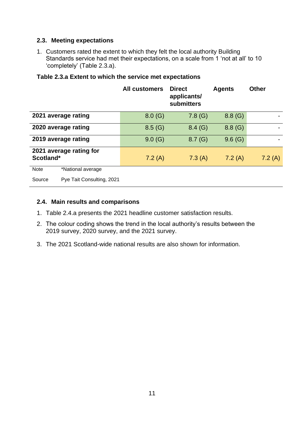#### <span id="page-10-0"></span>**2.3. Meeting expectations**

1. Customers rated the extent to which they felt the local authority Building Standards service had met their expectations, on a scale from 1 'not at all' to 10 'completely' (Table 2.3.a).

|                                      | <b>All customers</b> | <b>Direct</b><br>applicants/<br>submitters | <b>Agents</b> | <b>Other</b> |
|--------------------------------------|----------------------|--------------------------------------------|---------------|--------------|
| 2021 average rating                  | 8.0(G)               | 7.8(G)                                     | 8.8(G)        |              |
| 2020 average rating                  | 8.5(G)               | 8.4(G)                                     | 8.8(G)        |              |
| 2019 average rating                  | 9.0(G)               | 8.7(G)                                     | 9.6(G)        |              |
| 2021 average rating for<br>Scotland* | 7.2(A)               | 7.3(A)                                     | 7.2(A)        | 7.2(A)       |
| <b>Note</b><br>*National average     |                      |                                            |               |              |
| Pye Tait Consulting, 2021<br>Source  |                      |                                            |               |              |

#### <span id="page-10-2"></span>**Table 2.3.a Extent to which the service met expectations**

#### <span id="page-10-1"></span>**2.4. Main results and comparisons**

- 1. Table 2.4.a presents the 2021 headline customer satisfaction results.
- 2. The colour coding shows the trend in the local authority's results between the 2019 survey, 2020 survey, and the 2021 survey.
- 3. The 2021 Scotland-wide national results are also shown for information.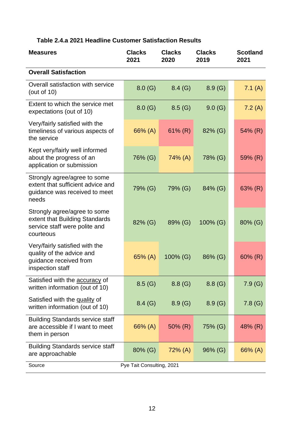# <span id="page-11-0"></span>**Table 2.4.a 2021 Headline Customer Satisfaction Results**

| <b>Measures</b>                                                                                              | <b>Clacks</b><br>2021     | <b>Clacks</b><br>2020 | <b>Clacks</b><br>2019 | <b>Scotland</b><br>2021 |
|--------------------------------------------------------------------------------------------------------------|---------------------------|-----------------------|-----------------------|-------------------------|
| <b>Overall Satisfaction</b>                                                                                  |                           |                       |                       |                         |
| Overall satisfaction with service<br>(out of $10$ )                                                          | 8.0(G)                    | 8.4(G)                | 8.9(G)                | 7.1 $(A)$               |
| Extent to which the service met<br>expectations (out of 10)                                                  | 8.0(G)                    | 8.5(G)                | 9.0(G)                | 7.2(A)                  |
| Very/fairly satisfied with the<br>timeliness of various aspects of<br>the service                            | 66% (A)                   | $61\%$ (R)            | 82% (G)               | 54% (R)                 |
| Kept very/fairly well informed<br>about the progress of an<br>application or submission                      | 76% (G)                   | $74\%$ (A)            | 78% (G)               | 59% (R)                 |
| Strongly agree/agree to some<br>extent that sufficient advice and<br>guidance was received to meet<br>needs  | 79% (G)                   | 79% (G)               | 84% (G)               | 63% (R)                 |
| Strongly agree/agree to some<br>extent that Building Standards<br>service staff were polite and<br>courteous | 82% (G)                   | 89% (G)               | $100\%$ (G)           | 80% (G)                 |
| Very/fairly satisfied with the<br>quality of the advice and<br>guidance received from<br>inspection staff    | 65% (A)                   | 100% (G)              | 86% (G)               | $60\%$ (R)              |
| Satisfied with the <b>accuracy</b> of<br>written information (out of 10)                                     | 8.5(G)                    | 8.8(G)                | 8.8(G)                | 7.9(G)                  |
| Satisfied with the quality of<br>written information (out of 10)                                             | 8.4(G)                    | 8.9(G)                | 8.9(G)                | 7.8(G)                  |
| <b>Building Standards service staff</b><br>are accessible if I want to meet<br>them in person                | 66% (A)                   | $50\%$ (R)            | 75% (G)               | 48% (R)                 |
| <b>Building Standards service staff</b><br>are approachable                                                  | 80% (G)                   | $72\%$ (A)            | $96\%$ (G)            | 66% (A)                 |
| Source                                                                                                       | Pye Tait Consulting, 2021 |                       |                       |                         |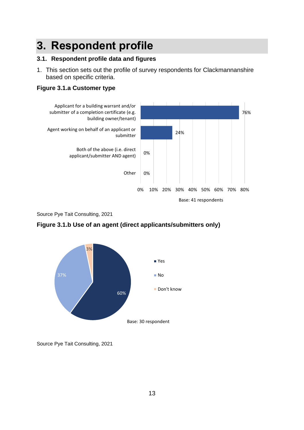# <span id="page-12-0"></span>**3. Respondent profile**

#### <span id="page-12-1"></span>**3.1. Respondent profile data and figures**

1. This section sets out the profile of survey respondents for Clackmannanshire based on specific criteria.

#### <span id="page-12-2"></span>**Figure 3.1.a Customer type**



Source Pye Tait Consulting, 2021



<span id="page-12-3"></span>**Figure 3.1.b Use of an agent (direct applicants/submitters only)**

Source Pye Tait Consulting, 2021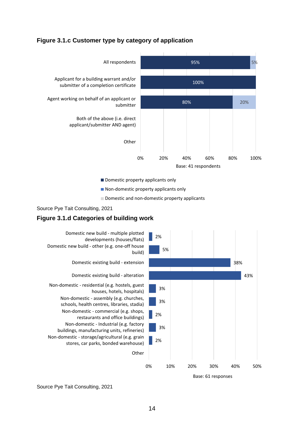#### <span id="page-13-0"></span>**Figure 3.1.c Customer type by category of application**



Non-domestic property applicants only

Domestic and non-domestic property applicants



#### <span id="page-13-1"></span>**Figure 3.1.d Categories of building work**



Source Pye Tait Consulting, 2021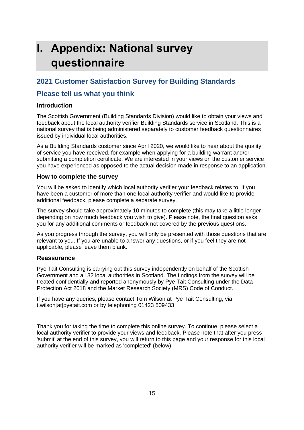# <span id="page-14-0"></span>**I. Appendix: National survey questionnaire**

# **2021 Customer Satisfaction Survey for Building Standards**

## **Please tell us what you think**

#### **Introduction**

The Scottish Government (Building Standards Division) would like to obtain your views and feedback about the local authority verifier Building Standards service in Scotland. This is a national survey that is being administered separately to customer feedback questionnaires issued by individual local authorities.

As a Building Standards customer since April 2020, we would like to hear about the quality of service you have received, for example when applying for a building warrant and/or submitting a completion certificate. We are interested in your views on the customer service you have experienced as opposed to the actual decision made in response to an application.

#### **How to complete the survey**

You will be asked to identify which local authority verifier your feedback relates to. If you have been a customer of more than one local authority verifier and would like to provide additional feedback, please complete a separate survey.

The survey should take approximately 10 minutes to complete (this may take a little longer depending on how much feedback you wish to give). Please note, the final question asks you for any additional comments or feedback not covered by the previous questions.

As you progress through the survey, you will only be presented with those questions that are relevant to you. If you are unable to answer any questions, or if you feel they are not applicable, please leave them blank.

#### **Reassurance**

Pye Tait Consulting is carrying out this survey independently on behalf of the Scottish Government and all 32 local authorities in Scotland. The findings from the survey will be treated confidentially and reported anonymously by Pye Tait Consulting under the Data Protection Act 2018 and the Market Research Society (MRS) Code of Conduct.

If you have any queries, please contact Tom Wilson at Pye Tait Consulting, via t.wilson[at]pyetait.com or by telephoning 01423 509433

Thank you for taking the time to complete this online survey. To continue, please select a local authority verifier to provide your views and feedback. Please note that after you press 'submit' at the end of this survey, you will return to this page and your response for this local authority verifier will be marked as 'completed' (below).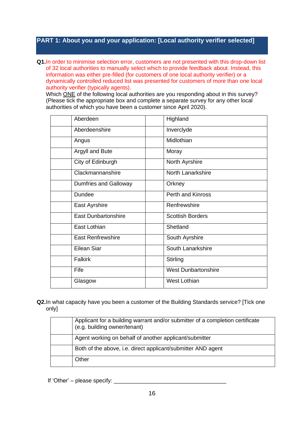#### **PART 1: About you and your application: [Local authority verifier selected]**

**Q1.**In order to minimise selection error, customers are not presented with this drop-down list of 32 local authorities to manually select which to provide feedback about. Instead, this information was either pre-filled (for customers of one local authority verifier) or a dynamically controlled reduced list was presented for customers of more than one local authority verifier (typically agents).

Which ONE of the following local authorities are you responding about in this survey? (Please tick the appropriate box and complete a separate survey for any other local authorities of which you have been a customer since April 2020).

| Aberdeen                   | Highland                   |
|----------------------------|----------------------------|
| Aberdeenshire              | Inverclyde                 |
| Angus                      | Midlothian                 |
| Argyll and Bute            | Moray                      |
| City of Edinburgh          | North Ayrshire             |
| Clackmannanshire           | North Lanarkshire          |
| Dumfries and Galloway      | Orkney                     |
| <b>Dundee</b>              | <b>Perth and Kinross</b>   |
| East Ayrshire              | Renfrewshire               |
| <b>East Dunbartonshire</b> | <b>Scottish Borders</b>    |
| East Lothian               | Shetland                   |
| <b>East Renfrewshire</b>   | South Ayrshire             |
| <b>Eilean Siar</b>         | South Lanarkshire          |
| <b>Falkirk</b>             | Stirling                   |
| Fife                       | <b>West Dunbartonshire</b> |
| Glasgow                    | <b>West Lothian</b>        |

#### **Q2.**In what capacity have you been a customer of the Building Standards service? [Tick one only]

| Applicant for a building warrant and/or submitter of a completion certificate<br>(e.g. building owner/tenant) |
|---------------------------------------------------------------------------------------------------------------|
| Agent working on behalf of another applicant/submitter                                                        |
| Both of the above, i.e. direct applicant/submitter AND agent                                                  |
| Other                                                                                                         |

If 'Other' – please specify: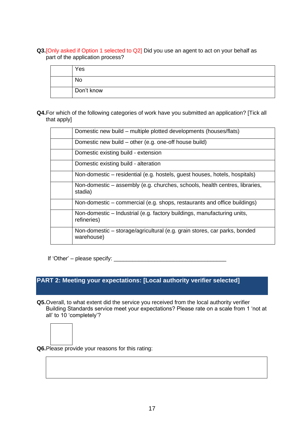**Q3.**[Only asked if Option 1 selected to Q2] Did you use an agent to act on your behalf as part of the application process?

| Yes        |
|------------|
| <b>No</b>  |
| Don't know |

**Q4.**For which of the following categories of work have you submitted an application? [Tick all that apply]

| Domestic new build – multiple plotted developments (houses/flats)                       |
|-----------------------------------------------------------------------------------------|
| Domestic new build – other (e.g. one-off house build)                                   |
| Domestic existing build - extension                                                     |
| Domestic existing build - alteration                                                    |
| Non-domestic – residential (e.g. hostels, guest houses, hotels, hospitals)              |
| Non-domestic – assembly (e.g. churches, schools, health centres, libraries,<br>stadia)  |
| Non-domestic – commercial (e.g. shops, restaurants and office buildings)                |
| Non-domestic - Industrial (e.g. factory buildings, manufacturing units,<br>refineries)  |
| Non-domestic – storage/agricultural (e.g. grain stores, car parks, bonded<br>warehouse) |

If 'Other' – please specify: \_\_\_\_\_\_\_\_\_\_\_\_\_\_\_\_\_\_\_\_\_\_\_\_\_\_\_\_\_\_\_\_\_\_\_\_

## **PART 2: Meeting your expectations: [Local authority verifier selected]**

**Q5.**Overall, to what extent did the service you received from the local authority verifier Building Standards service meet your expectations? Please rate on a scale from 1 'not at all' to 10 'completely'?



**Q6.**Please provide your reasons for this rating: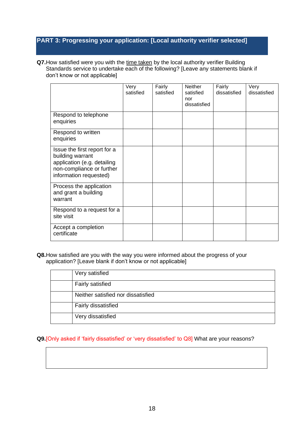## **PART 3: Progressing your application: [Local authority verifier selected]**

**Q7.**How satisfied were you with the time taken by the local authority verifier Building Standards service to undertake each of the following? [Leave any statements blank if don't know or not applicable]

|                                                                                                                                        | Very<br>satisfied | Fairly<br>satisfied | <b>Neither</b><br>satisfied<br>nor<br>dissatisfied | Fairly<br>dissatisfied | Very<br>dissatisfied |
|----------------------------------------------------------------------------------------------------------------------------------------|-------------------|---------------------|----------------------------------------------------|------------------------|----------------------|
| Respond to telephone<br>enquiries                                                                                                      |                   |                     |                                                    |                        |                      |
| Respond to written<br>enquiries                                                                                                        |                   |                     |                                                    |                        |                      |
| Issue the first report for a<br>building warrant<br>application (e.g. detailing<br>non-compliance or further<br>information requested) |                   |                     |                                                    |                        |                      |
| Process the application<br>and grant a building<br>warrant                                                                             |                   |                     |                                                    |                        |                      |
| Respond to a request for a<br>site visit                                                                                               |                   |                     |                                                    |                        |                      |
| Accept a completion<br>certificate                                                                                                     |                   |                     |                                                    |                        |                      |

#### **Q8.**How satisfied are you with the way you were informed about the progress of your application? [Leave blank if don't know or not applicable]

| Very satisfied                     |
|------------------------------------|
| Fairly satisfied                   |
| Neither satisfied nor dissatisfied |
| Fairly dissatisfied                |
| Very dissatisfied                  |

**Q9.**[Only asked if 'fairly dissatisfied' or 'very dissatisfied' to Q8] What are your reasons?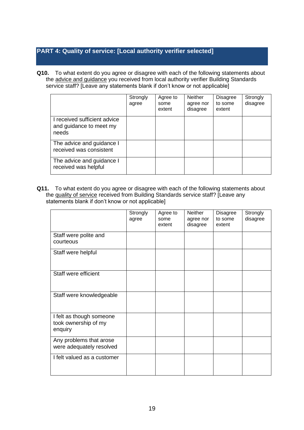## **PART 4: Quality of service: [Local authority verifier selected]**

**Q10.** To what extent do you agree or disagree with each of the following statements about the advice and guidance you received from local authority verifier Building Standards service staff? [Leave any statements blank if don't know or not applicable]

|                                                                  | Strongly<br>agree | Agree to<br>some<br>extent | <b>Neither</b><br>agree nor<br>disagree | <b>Disagree</b><br>to some<br>extent | Strongly<br>disagree |
|------------------------------------------------------------------|-------------------|----------------------------|-----------------------------------------|--------------------------------------|----------------------|
| I received sufficient advice<br>and guidance to meet my<br>needs |                   |                            |                                         |                                      |                      |
| The advice and guidance I<br>received was consistent             |                   |                            |                                         |                                      |                      |
| The advice and guidance I<br>received was helpful                |                   |                            |                                         |                                      |                      |

**Q11.** To what extent do you agree or disagree with each of the following statements about the quality of service received from Building Standards service staff? [Leave any statements blank if don't know or not applicable]

|                                                             | Strongly<br>agree | Agree to<br>some<br>extent | <b>Neither</b><br>agree nor<br>disagree | Disagree<br>to some<br>extent | Strongly<br>disagree |
|-------------------------------------------------------------|-------------------|----------------------------|-----------------------------------------|-------------------------------|----------------------|
| Staff were polite and<br>courteous                          |                   |                            |                                         |                               |                      |
| Staff were helpful                                          |                   |                            |                                         |                               |                      |
| Staff were efficient                                        |                   |                            |                                         |                               |                      |
| Staff were knowledgeable                                    |                   |                            |                                         |                               |                      |
| I felt as though someone<br>took ownership of my<br>enquiry |                   |                            |                                         |                               |                      |
| Any problems that arose<br>were adequately resolved         |                   |                            |                                         |                               |                      |
| I felt valued as a customer                                 |                   |                            |                                         |                               |                      |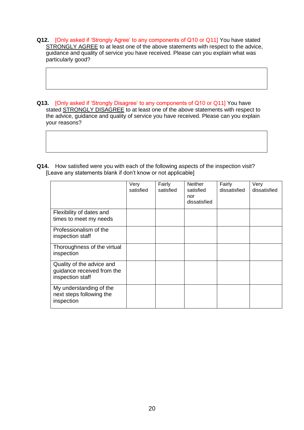- **Q12.** [Only asked if 'Strongly Agree' to any components of Q10 or Q11] You have stated STRONGLY AGREE to at least one of the above statements with respect to the advice, guidance and quality of service you have received. Please can you explain what was particularly good?
- **Q13.** [Only asked if 'Strongly Disagree' to any components of Q10 or Q11] You have stated STRONGLY DISAGREE to at least one of the above statements with respect to the advice, guidance and quality of service you have received. Please can you explain your reasons?
- **Q14.** How satisfied were you with each of the following aspects of the inspection visit? [Leave any statements blank if don't know or not applicable]

|                                                                             | Very<br>satisfied | Fairly<br>satisfied | <b>Neither</b><br>satisfied<br>nor<br>dissatisfied | Fairly<br>dissatisfied | Very<br>dissatisfied |
|-----------------------------------------------------------------------------|-------------------|---------------------|----------------------------------------------------|------------------------|----------------------|
| Flexibility of dates and<br>times to meet my needs                          |                   |                     |                                                    |                        |                      |
| Professionalism of the<br>inspection staff                                  |                   |                     |                                                    |                        |                      |
| Thoroughness of the virtual<br>inspection                                   |                   |                     |                                                    |                        |                      |
| Quality of the advice and<br>guidance received from the<br>inspection staff |                   |                     |                                                    |                        |                      |
| My understanding of the<br>next steps following the<br>inspection           |                   |                     |                                                    |                        |                      |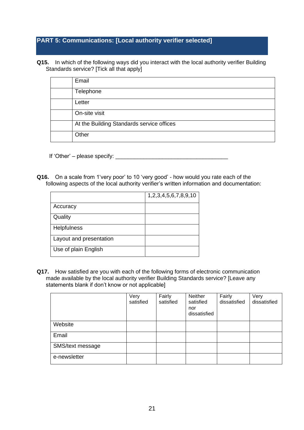## **PART 5: Communications: [Local authority verifier selected]**

**Q15.** In which of the following ways did you interact with the local authority verifier Building Standards service? [Tick all that apply]

| Email                                     |
|-------------------------------------------|
| Telephone                                 |
| Letter                                    |
| On-site visit                             |
| At the Building Standards service offices |
| Other                                     |

If 'Other' – please specify: \_\_\_\_\_\_\_\_\_\_\_\_\_\_\_\_\_\_\_\_\_\_\_\_\_\_\_\_\_\_\_\_\_\_\_\_

**Q16.** On a scale from 1'very poor' to 10 'very good' - how would you rate each of the following aspects of the local authority verifier's written information and documentation:

|                         | 1,2,3,4,5,6,7,8,9,10 |
|-------------------------|----------------------|
| Accuracy                |                      |
| Quality                 |                      |
| <b>Helpfulness</b>      |                      |
| Layout and presentation |                      |
| Use of plain English    |                      |

**Q17.** How satisfied are you with each of the following forms of electronic communication made available by the local authority verifier Building Standards service? [Leave any statements blank if don't know or not applicable]

|                  | Very<br>satisfied | Fairly<br>satisfied | <b>Neither</b><br>satisfied<br>nor<br>dissatisfied | Fairly<br>dissatisfied | Very<br>dissatisfied |
|------------------|-------------------|---------------------|----------------------------------------------------|------------------------|----------------------|
| Website          |                   |                     |                                                    |                        |                      |
| Email            |                   |                     |                                                    |                        |                      |
| SMS/text message |                   |                     |                                                    |                        |                      |
| e-newsletter     |                   |                     |                                                    |                        |                      |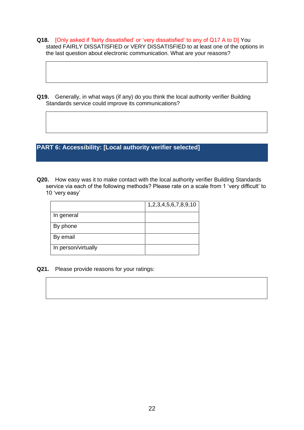- **Q18.** [Only asked if 'fairly dissatisfied' or 'very dissatisfied' to any of Q17 A to D] You stated FAIRLY DISSATISFIED or VERY DISSATISFIED to at least one of the options in the last question about electronic communication. What are your reasons?
- **Q19.** Generally, in what ways (if any) do you think the local authority verifier Building Standards service could improve its communications?

**PART 6: Accessibility: [Local authority verifier selected]**

**Q20.** How easy was it to make contact with the local authority verifier Building Standards service via each of the following methods? Please rate on a scale from 1 'very difficult' to 10 'very easy'

|                     | 1,2,3,4,5,6,7,8,9,10 |
|---------------------|----------------------|
| In general          |                      |
| By phone            |                      |
| By email            |                      |
| In person/virtually |                      |

**Q21.** Please provide reasons for your ratings: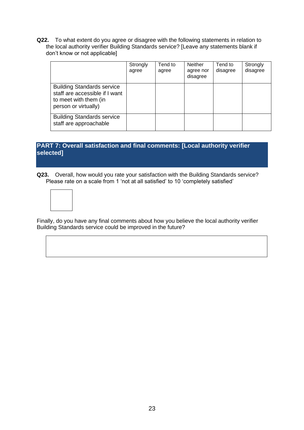**Q22.** To what extent do you agree or disagree with the following statements in relation to the local authority verifier Building Standards service? [Leave any statements blank if don't know or not applicable]

|                                                                                                                      | Strongly<br>agree | Tend to<br>agree | <b>Neither</b><br>agree nor<br>disagree | Tend to<br>disagree | Strongly<br>disagree |
|----------------------------------------------------------------------------------------------------------------------|-------------------|------------------|-----------------------------------------|---------------------|----------------------|
| <b>Building Standards service</b><br>staff are accessible if I want<br>to meet with them (in<br>person or virtually) |                   |                  |                                         |                     |                      |
| <b>Building Standards service</b><br>staff are approachable                                                          |                   |                  |                                         |                     |                      |

## **PART 7: Overall satisfaction and final comments: [Local authority verifier selected]**

**Q23.** Overall, how would you rate your satisfaction with the Building Standards service? Please rate on a scale from 1 'not at all satisfied' to 10 'completely satisfied'



Finally, do you have any final comments about how you believe the local authority verifier Building Standards service could be improved in the future?